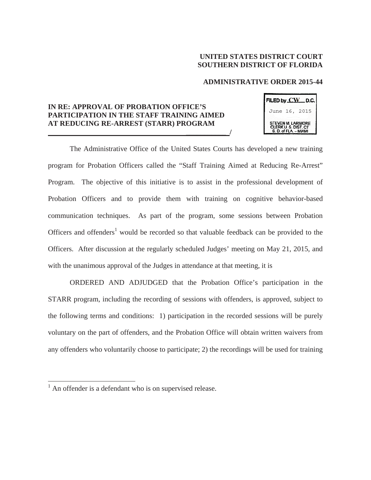## **UNITED STATES DISTRICT COURT SOUTHERN DISTRICT OF FLORIDA**

## **ADMINISTRATIVE ORDER 2015-44**

## **IN RE: APPROVAL OF PROBATION OFFICE'S PARTICIPATION IN THE STAFF TRAINING AIMED AT REDUCING RE-ARREST (STARR) PROGRAM \_\_\_\_\_\_\_\_\_\_\_ /**

| FILED by CW<br>_D.C.                              |                       |      |
|---------------------------------------------------|-----------------------|------|
| June 16,                                          |                       | 2015 |
| <b>STEVEN M. LARIMORE</b><br>CLERK U. S. DIST. CT | S. D. of FLA. - MIAMI |      |

 The Administrative Office of the United States Courts has developed a new training program for Probation Officers called the "Staff Training Aimed at Reducing Re-Arrest" Program. The objective of this initiative is to assist in the professional development of Probation Officers and to provide them with training on cognitive behavior-based communication techniques. As part of the program, some sessions between Probation Officers and offenders<sup>1</sup> would be recorded so that valuable feedback can be provided to the Officers. After discussion at the regularly scheduled Judges' meeting on May 21, 2015, and with the unanimous approval of the Judges in attendance at that meeting, it is

 ORDERED AND ADJUDGED that the Probation Office's participation in the STARR program, including the recording of sessions with offenders, is approved, subject to the following terms and conditions: 1) participation in the recorded sessions will be purely voluntary on the part of offenders, and the Probation Office will obtain written waivers from any offenders who voluntarily choose to participate; 2) the recordings will be used for training

<sup>&</sup>lt;sup>1</sup> An offender is a defendant who is on supervised release.